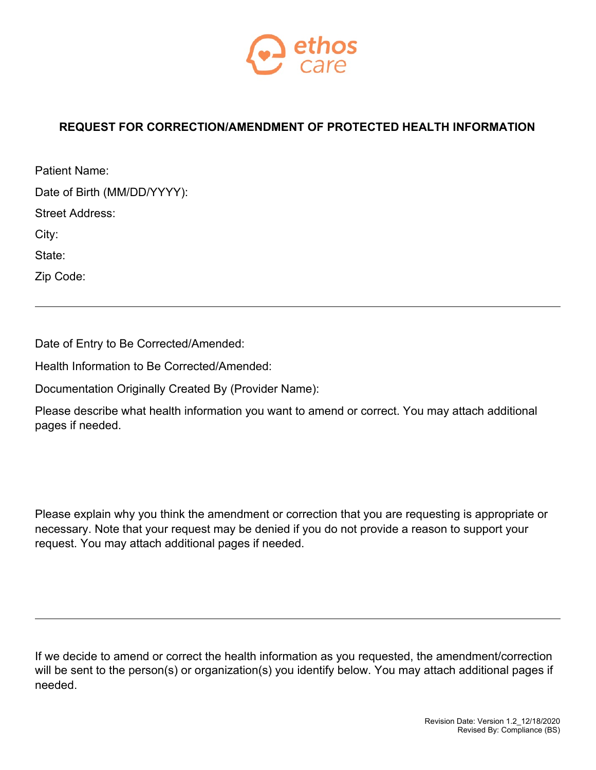

## **REQUEST FOR CORRECTION/AMENDMENT OF PROTECTED HEALTH INFORMATION**

| Patient Name:               |  |
|-----------------------------|--|
| Date of Birth (MM/DD/YYYY): |  |
| Street Address:             |  |
| City:                       |  |
| State:                      |  |
| Zip Code:                   |  |

Date of Entry to Be Corrected/Amended:

Health Information to Be Corrected/Amended:

Documentation Originally Created By (Provider Name):

Please describe what health information you want to amend or correct. You may attach additional pages if needed.

Please explain why you think the amendment or correction that you are requesting is appropriate or necessary. Note that your request may be denied if you do not provide a reason to support your request. You may attach additional pages if needed.

If we decide to amend or correct the health information as you requested, the amendment/correction will be sent to the person(s) or organization(s) you identify below. You may attach additional pages if needed.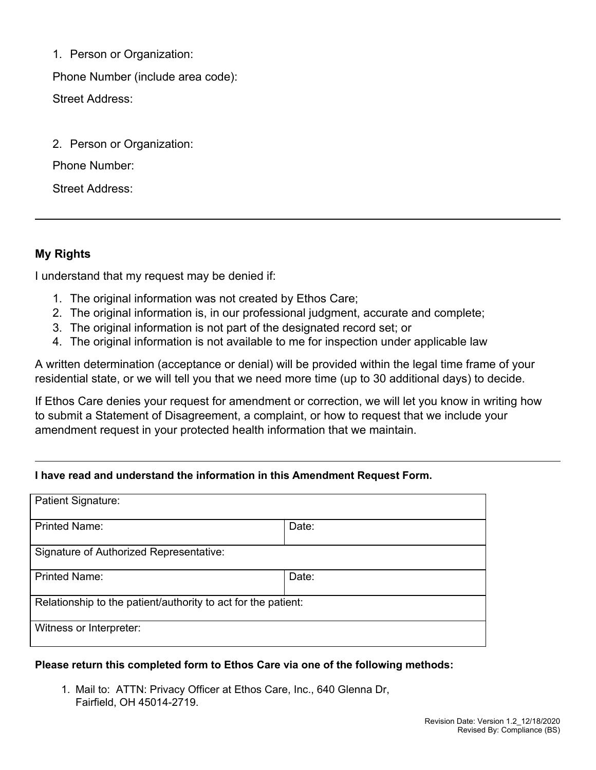1. Person or Organization:

Phone Number (include area code): Street Address:

2. Person or Organization:

Phone Number:

Street Address:

# **My Rights**

I understand that my request may be denied if:

- 1. The original information was not created by Ethos Care;
- 2. The original information is, in our professional judgment, accurate and complete;
- 3. The original information is not part of the designated record set; or
- 4. The original information is not available to me for inspection under applicable law

A written determination (acceptance or denial) will be provided within the legal time frame of your residential state, or we will tell you that we need more time (up to 30 additional days) to decide.

If Ethos Care denies your request for amendment or correction, we will let you know in writing how to submit a Statement of Disagreement, a complaint, or how to request that we include your amendment request in your protected health information that we maintain.

# **I have read and understand the information in this Amendment Request Form.**

| Patient Signature:                                            |       |  |  |
|---------------------------------------------------------------|-------|--|--|
| <b>Printed Name:</b>                                          | Date: |  |  |
| Signature of Authorized Representative:                       |       |  |  |
| <b>Printed Name:</b>                                          | Date: |  |  |
| Relationship to the patient/authority to act for the patient: |       |  |  |
| Witness or Interpreter:                                       |       |  |  |

#### **Please return this completed form to Ethos Care via one of the following methods:**

1. Mail to: ATTN: Privacy Officer at Ethos Care, Inc., 640 Glenna Dr, Fairfield, OH 45014-2719.